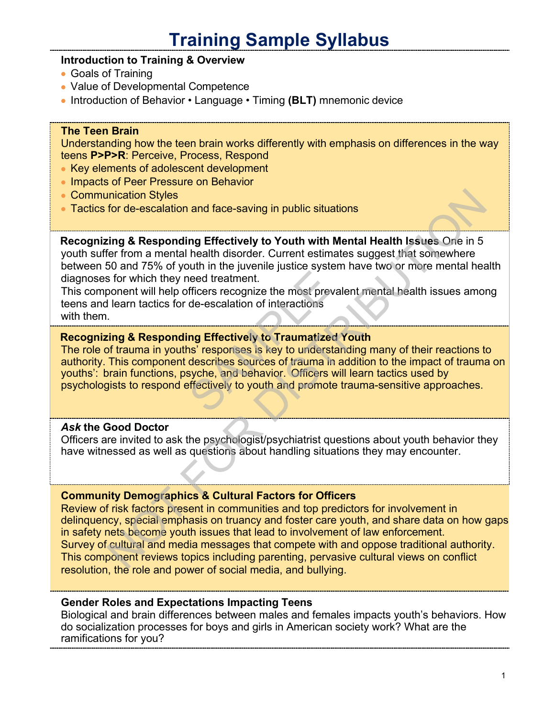# **Training Sample Syllabus**

# **Introduction to Training & Overview**

- Goals of Training
- Value of Developmental Competence
- Introduction of Behavior Language Timing **(BLT)** mnemonic device

## **The Teen Brain**

Understanding how the teen brain works differently with emphasis on differences in the way teens **P>P>R**: Perceive, Process, Respond

- Key elements of adolescent development
- Impacts of Peer Pressure on Behavior
- Communication Styles
- Tactics for de-escalation and face-saving in public situations

**Recognizing & Responding Effectively to Youth with Mental Health Issues** One in 5 youth suffer from a mental health disorder. Current estimates suggest that somewhere between 50 and 75% of youth in the juvenile justice system have two or more mental health diagnoses for which they need treatment.

This component will help officers recognize the most prevalent mental health issues among teens and learn tactics for de-escalation of interactions with them.

## **Recognizing & Responding Effectively to Traumatized Youth**

The role of trauma in youths' responses is key to understanding many of their reactions to authority. This component describes sources of trauma in addition to the impact of trauma on youths': brain functions, psyche, and behavior. Officers will learn tactics used by psychologists to respond effectively to youth and promote trauma-sensitive approaches. need treatment.<br>
fficers recognize the most prevale<br>
de-escalation of interactions<br> **ng Effectively to Traumatized Y<br>
ns' responses is key to understan<br>
describes sources of trauma in a<br>
syche, and behavior. Officers will<br>** 

## *Ask* **the Good Doctor**

Officers are invited to ask the psychologist/psychiatrist questions about youth behavior they have witnessed as well as questions about handling situations they may encounter.

## **Community Demographics & Cultural Factors for Officers**

Review of risk factors present in communities and top predictors for involvement in delinquency, special emphasis on truancy and foster care youth, and share data on how gaps in safety nets become youth issues that lead to involvement of law enforcement. Survey of cultural and media messages that compete with and oppose traditional authority. This component reviews topics including parenting, pervasive cultural views on conflict resolution, the role and power of social media, and bullying. nication Styles<br>
for de-escalation and face-saving in public situations<br>
ting & Responding Effectively to Youth with Mental Health Issues One in 5<br>
for from a mental health disorder. Current estimates suggest that somewher

## **Gender Roles and Expectations Impacting Teens**

Biological and brain differences between males and females impacts youth's behaviors. How do socialization processes for boys and girls in American society work? What are the ramifications for you?